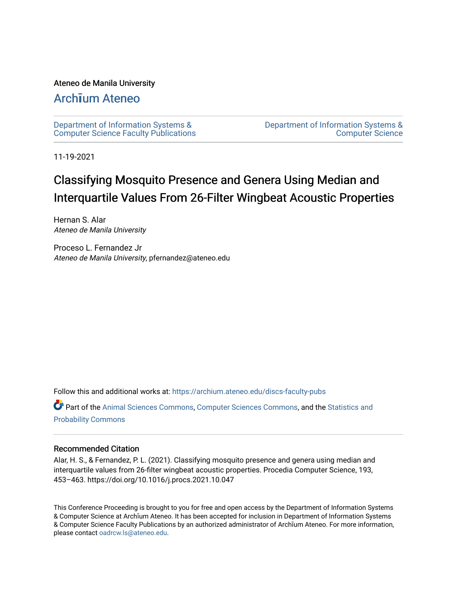## Ateneo de Manila University

## Arch**ī**[um Ateneo](https://archium.ateneo.edu/)

[Department of Information Systems &](https://archium.ateneo.edu/discs-faculty-pubs)  [Computer Science Faculty Publications](https://archium.ateneo.edu/discs-faculty-pubs)  [Department of Information Systems &](https://archium.ateneo.edu/discs)  [Computer Science](https://archium.ateneo.edu/discs) 

11-19-2021

# Classifying Mosquito Presence and Genera Using Median and Interquartile Values From 26-Filter Wingbeat Acoustic Properties

Hernan S. Alar Ateneo de Manila University

Proceso L. Fernandez Jr Ateneo de Manila University, pfernandez@ateneo.edu

Follow this and additional works at: [https://archium.ateneo.edu/discs-faculty-pubs](https://archium.ateneo.edu/discs-faculty-pubs?utm_source=archium.ateneo.edu%2Fdiscs-faculty-pubs%2F279&utm_medium=PDF&utm_campaign=PDFCoverPages) 

Part of the [Animal Sciences Commons,](http://network.bepress.com/hgg/discipline/76?utm_source=archium.ateneo.edu%2Fdiscs-faculty-pubs%2F279&utm_medium=PDF&utm_campaign=PDFCoverPages) [Computer Sciences Commons](http://network.bepress.com/hgg/discipline/142?utm_source=archium.ateneo.edu%2Fdiscs-faculty-pubs%2F279&utm_medium=PDF&utm_campaign=PDFCoverPages), and the [Statistics and](http://network.bepress.com/hgg/discipline/208?utm_source=archium.ateneo.edu%2Fdiscs-faculty-pubs%2F279&utm_medium=PDF&utm_campaign=PDFCoverPages)  [Probability Commons](http://network.bepress.com/hgg/discipline/208?utm_source=archium.ateneo.edu%2Fdiscs-faculty-pubs%2F279&utm_medium=PDF&utm_campaign=PDFCoverPages) 

#### Recommended Citation

Alar, H. S., & Fernandez, P. L. (2021). Classifying mosquito presence and genera using median and interquartile values from 26-filter wingbeat acoustic properties. Procedia Computer Science, 193, 453–463. https://doi.org/10.1016/j.procs.2021.10.047

This Conference Proceeding is brought to you for free and open access by the Department of Information Systems & Computer Science at Archīum Ateneo. It has been accepted for inclusion in Department of Information Systems & Computer Science Faculty Publications by an authorized administrator of Archīum Ateneo. For more information, please contact [oadrcw.ls@ateneo.edu.](mailto:oadrcw.ls@ateneo.edu)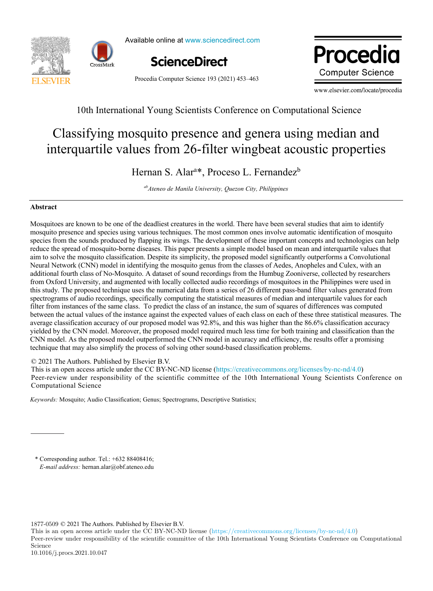



Available online at www.sciencedirect.com



Procedia Computer Science 193 (2021) 453–463

Procedia **Computer Science** 

www.elsevier.com/locate/procedia

## 10th International Young Scientists Conference on Computational Science

## Classifying mosquito presence and genera using median and interquartile values from 26-filter wingbeat acoustic properties

Hernan S. Alar<sup>a\*</sup>, Proceso L. Fernandez<sup>b</sup>

*abAteneo de Manila University, Quezon City, Philippines*

#### **Abstract**

Mosquitoes are known to be one of the deadliest creatures in the world. There have been several studies that aim to identify mosquito presence and species using various techniques. The most common ones involve automatic identification of mosquito species from the sounds produced by flapping its wings. The development of these important concepts and technologies can help reduce the spread of mosquito-borne diseases. This paper presents a simple model based on mean and interquartile values that aim to solve the mosquito classification. Despite its simplicity, the proposed model significantly outperforms a Convolutional Neural Network (CNN) model in identifying the mosquito genus from the classes of Aedes, Anopheles and Culex, with an additional fourth class of No-Mosquito. A dataset of sound recordings from the Humbug Zooniverse, collected by researchers from Oxford University, and augmented with locally collected audio recordings of mosquitoes in the Philippines were used in this study. The proposed technique uses the numerical data from a series of 26 different pass-band filter values generated from spectrograms of audio recordings, specifically computing the statistical measures of median and interquartile values for each filter from instances of the same class. To predict the class of an instance, the sum of squares of differences was computed between the actual values of the instance against the expected values of each class on each of these three statistical measures. The average classification accuracy of our proposed model was 92.8%, and this was higher than the 86.6% classification accuracy yielded by the CNN model. Moreover, the proposed model required much less time for both training and classification than the CNN model. As the proposed model outperformed the CNN model in accuracy and efficiency, the results offer a promising technique that may also simplify the process of solving other sound-based classification problems.

© 2021 The Authors. Published by Elsevier B.V.

 $\degree$  2021 The Authors. Published by Elsevier B.V.<br>This is an open access article under the CC BY-NC-ND license (https://creativecommons.org/licenses/by-nc-nd/4.0) Peer-review under responsibility of the scientific committee of the 10th International Young Scientists Conference on Computational Science C 2021 The Authors. Fuoristic by Eisevier B.V.<br>This is an open access article under the CC BY-NC-ND license (https://creativecommons.org/licenses/by-nc-nd/4.0)<br>Peer-review under responsibility of the scientific committee o Computational Science

*Keywords:* Mosquito; Audio Classification; Genus; Spectrograms, Descriptive Statistics;

\* Corresponding author. Tel.: +632 88408416; *E-mail address:* hernan.alar@obf.ateneo.edu

1877-0509 © 2021 The Authors. Published by Elsevier B.V.

This is an open access article under the CC BY-NC-ND license (https://creativecommons.org/licenses/by-nc-nd/4.0) Peer-review under responsibility of the scientific committee of the 10th International Young Scientists Conference on Computational Science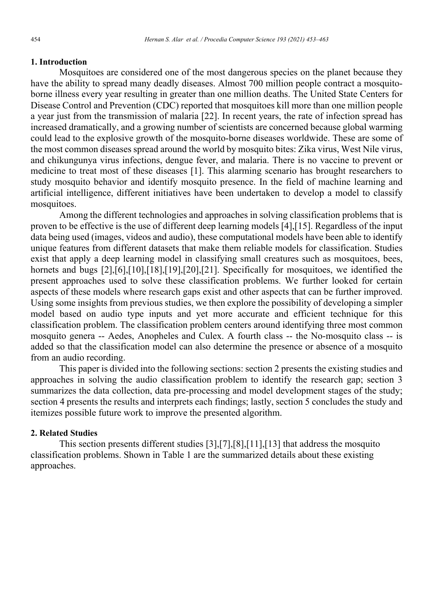#### **1. Introduction**

Mosquitoes are considered one of the most dangerous species on the planet because they have the ability to spread many deadly diseases. Almost 700 million people contract a mosquitoborne illness every year resulting in greater than one million deaths. The United State Centers for Disease Control and Prevention (CDC) reported that mosquitoes kill more than one million people a year just from the transmission of malaria [22]. In recent years, the rate of infection spread has increased dramatically, and a growing number of scientists are concerned because global warming could lead to the explosive growth of the mosquito-borne diseases worldwide. These are some of the most common diseases spread around the world by mosquito bites: Zika virus, West Nile virus, and chikungunya virus infections, dengue fever, and malaria. There is no vaccine to prevent or medicine to treat most of these diseases [1]. This alarming scenario has brought researchers to study mosquito behavior and identify mosquito presence. In the field of machine learning and artificial intelligence, different initiatives have been undertaken to develop a model to classify mosquitoes.

Among the different technologies and approaches in solving classification problems that is proven to be effective is the use of different deep learning models [4],[15]. Regardless of the input data being used (images, videos and audio), these computational models have been able to identify unique features from different datasets that make them reliable models for classification. Studies exist that apply a deep learning model in classifying small creatures such as mosquitoes, bees, hornets and bugs [2],[6],[10],[18],[19],[20],[21]. Specifically for mosquitoes, we identified the present approaches used to solve these classification problems. We further looked for certain aspects of these models where research gaps exist and other aspects that can be further improved. Using some insights from previous studies, we then explore the possibility of developing a simpler model based on audio type inputs and yet more accurate and efficient technique for this classification problem. The classification problem centers around identifying three most common mosquito genera -- Aedes, Anopheles and Culex. A fourth class -- the No-mosquito class -- is added so that the classification model can also determine the presence or absence of a mosquito from an audio recording.

This paper is divided into the following sections: section 2 presents the existing studies and approaches in solving the audio classification problem to identify the research gap; section 3 summarizes the data collection, data pre-processing and model development stages of the study; section 4 presents the results and interprets each findings; lastly, section 5 concludes the study and itemizes possible future work to improve the presented algorithm.

#### **2. Related Studies**

This section presents different studies [3],[7],[8],[11],[13] that address the mosquito classification problems. Shown in Table 1 are the summarized details about these existing approaches.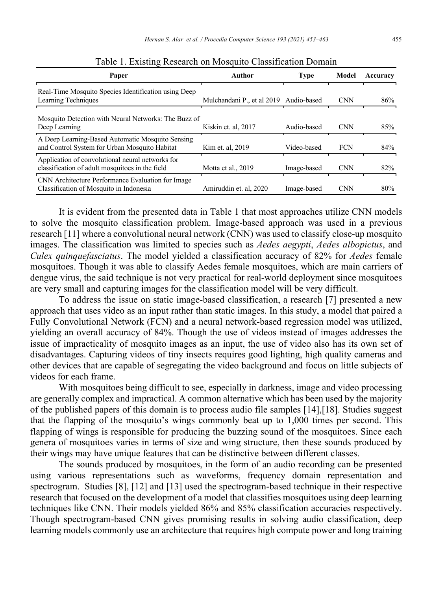| Paper                                                                                               | Author                                 | <b>Type</b> | Model      | Accuracy |
|-----------------------------------------------------------------------------------------------------|----------------------------------------|-------------|------------|----------|
| Real-Time Mosquito Species Identification using Deep<br>Learning Techniques                         | Mulchandani P., et al 2019 Audio-based |             | <b>CNN</b> | 86%      |
| Mosquito Detection with Neural Networks: The Buzz of<br>Deep Learning                               | Kiskin et. al, 2017                    | Audio-based | <b>CNN</b> | 85%      |
| A Deep Learning-Based Automatic Mosquito Sensing<br>and Control System for Urban Mosquito Habitat   | Kim et. al, 2019                       | Video-based | <b>FCN</b> | 84%      |
| Application of convolutional neural networks for<br>classification of adult mosquitoes in the field | Motta et al., 2019                     | Image-based | <b>CNN</b> | 82%      |
| CNN Architecture Performance Evaluation for Image<br>Classification of Mosquito in Indonesia        | Amiruddin et. al, 2020                 | Image-based | <b>CNN</b> | 80%      |

Table 1. Existing Research on Mosquito Classification Domain

It is evident from the presented data in Table 1 that most approaches utilize CNN models to solve the mosquito classification problem. Image-based approach was used in a previous research [11] where a convolutional neural network (CNN) was used to classify close-up mosquito images. The classification was limited to species such as *Aedes aegypti*, *Aedes albopictus*, and *Culex quinquefasciatus*. The model yielded a classification accuracy of 82% for *Aedes* female mosquitoes. Though it was able to classify Aedes female mosquitoes, which are main carriers of dengue virus, the said technique is not very practical for real-world deployment since mosquitoes are very small and capturing images for the classification model will be very difficult.

To address the issue on static image-based classification, a research [7] presented a new approach that uses video as an input rather than static images. In this study, a model that paired a Fully Convolutional Network (FCN) and a neural network-based regression model was utilized, yielding an overall accuracy of 84%. Though the use of videos instead of images addresses the issue of impracticality of mosquito images as an input, the use of video also has its own set of disadvantages. Capturing videos of tiny insects requires good lighting, high quality cameras and other devices that are capable of segregating the video background and focus on little subjects of videos for each frame.

With mosquitoes being difficult to see, especially in darkness, image and video processing are generally complex and impractical. A common alternative which has been used by the majority of the published papers of this domain is to process audio file samples [14],[18]. Studies suggest that the flapping of the mosquito's wings commonly beat up to 1,000 times per second. This flapping of wings is responsible for producing the buzzing sound of the mosquitoes. Since each genera of mosquitoes varies in terms of size and wing structure, then these sounds produced by their wings may have unique features that can be distinctive between different classes.

The sounds produced by mosquitoes, in the form of an audio recording can be presented using various representations such as waveforms, frequency domain representation and spectrogram. Studies [8], [12] and [13] used the spectrogram-based technique in their respective research that focused on the development of a model that classifies mosquitoes using deep learning techniques like CNN. Their models yielded 86% and 85% classification accuracies respectively. Though spectrogram-based CNN gives promising results in solving audio classification, deep learning models commonly use an architecture that requires high compute power and long training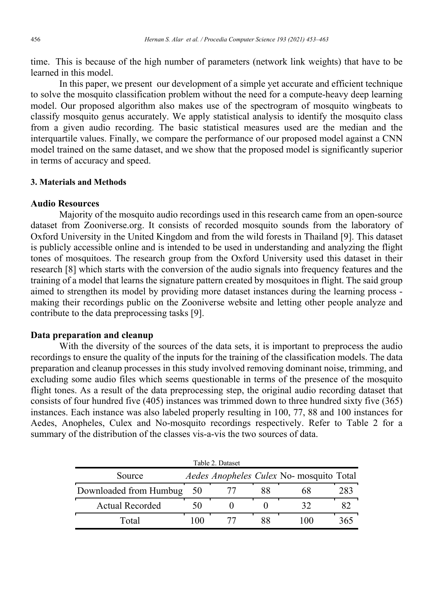time. This is because of the high number of parameters (network link weights) that have to be learned in this model.

In this paper, we present our development of a simple yet accurate and efficient technique to solve the mosquito classification problem without the need for a compute-heavy deep learning model. Our proposed algorithm also makes use of the spectrogram of mosquito wingbeats to classify mosquito genus accurately. We apply statistical analysis to identify the mosquito class from a given audio recording. The basic statistical measures used are the median and the interquartile values. Finally, we compare the performance of our proposed model against a CNN model trained on the same dataset, and we show that the proposed model is significantly superior in terms of accuracy and speed.

#### **3. Materials and Methods**

#### **Audio Resources**

Majority of the mosquito audio recordings used in this research came from an open-source dataset from Zooniverse.org. It consists of recorded mosquito sounds from the laboratory of Oxford University in the United Kingdom and from the wild forests in Thailand [9]. This dataset is publicly accessible online and is intended to be used in understanding and analyzing the flight tones of mosquitoes. The research group from the Oxford University used this dataset in their research [8] which starts with the conversion of the audio signals into frequency features and the training of a model that learns the signature pattern created by mosquitoes in flight. The said group aimed to strengthen its model by providing more dataset instances during the learning process making their recordings public on the Zooniverse website and letting other people analyze and contribute to the data preprocessing tasks [9].

#### **Data preparation and cleanup**

With the diversity of the sources of the data sets, it is important to preprocess the audio recordings to ensure the quality of the inputs for the training of the classification models. The data preparation and cleanup processes in this study involved removing dominant noise, trimming, and excluding some audio files which seems questionable in terms of the presence of the mosquito flight tones. As a result of the data preprocessing step, the original audio recording dataset that consists of four hundred five (405) instances was trimmed down to three hundred sixty five (365) instances. Each instance was also labeled properly resulting in 100, 77, 88 and 100 instances for Aedes, Anopheles, Culex and No-mosquito recordings respectively. Refer to Table 2 for a summary of the distribution of the classes vis-a-vis the two sources of data.

| Table 2. Dataset       |     |  |    |                                          |     |
|------------------------|-----|--|----|------------------------------------------|-----|
| Source                 |     |  |    | Aedes Anopheles Culex No- mosquito Total |     |
| Downloaded from Humbug | -50 |  | 88 |                                          | 283 |
| <b>Actual Recorded</b> | 50  |  |    |                                          |     |
| Total                  | 100 |  |    |                                          | 365 |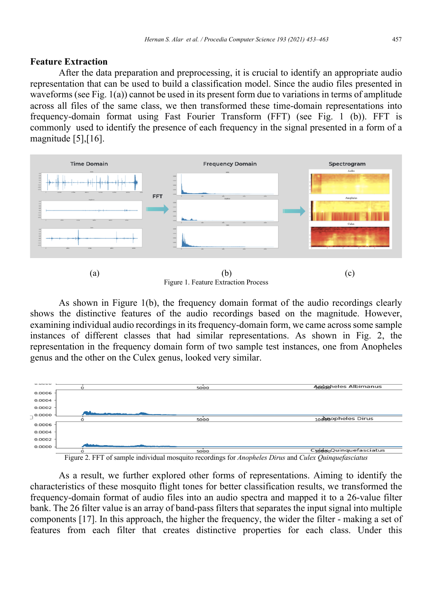#### **Feature Extraction**

After the data preparation and preprocessing, it is crucial to identify an appropriate audio representation that can be used to build a classification model. Since the audio files presented in waveforms (see Fig. 1(a)) cannot be used in its present form due to variations in terms of amplitude across all files of the same class, we then transformed these time-domain representations into frequency-domain format using Fast Fourier Transform (FFT) (see Fig. 1 (b)). FFT is commonly used to identify the presence of each frequency in the signal presented in a form of a magnitude [5],[16].



As shown in Figure 1(b), the frequency domain format of the audio recordings clearly shows the distinctive features of the audio recordings based on the magnitude. However, examining individual audio recordings in its frequency-domain form, we came across some sample instances of different classes that had similar representations. As shown in Fig. 2, the representation in the frequency domain form of two sample test instances, one from Anopheles genus and the other on the Culex genus, looked very similar.



As a result, we further explored other forms of representations. Aiming to identify the characteristics of these mosquito flight tones for better classification results, we transformed the frequency-domain format of audio files into an audio spectra and mapped it to a 26-value filter bank. The 26 filter value is an array of band-pass filters that separates the input signal into multiple components [17]. In this approach, the higher the frequency, the wider the filter - making a set of features from each filter that creates distinctive properties for each class. Under this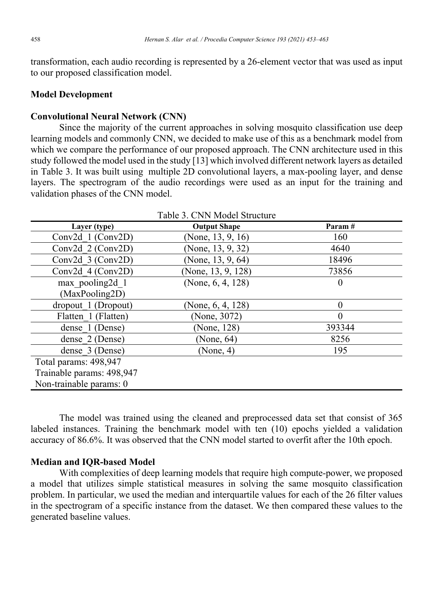transformation, each audio recording is represented by a 26-element vector that was used as input to our proposed classification model.

### **Model Development**

### **Convolutional Neural Network (CNN)**

Since the majority of the current approaches in solving mosquito classification use deep learning models and commonly CNN, we decided to make use of this as a benchmark model from which we compare the performance of our proposed approach. The CNN architecture used in this study followed the model used in the study [13] which involved different network layers as detailed in Table 3. It was built using multiple 2D convolutional layers, a max-pooling layer, and dense layers. The spectrogram of the audio recordings were used as an input for the training and validation phases of the CNN model.

| Table 3. CNN Model Structure |                     |                |  |  |  |
|------------------------------|---------------------|----------------|--|--|--|
| Layer (type)                 | <b>Output Shape</b> | Param#         |  |  |  |
| Conv2d 1 (Conv2D)            | (None, 13, 9, 16)   | 160            |  |  |  |
| Conv2d $2$ (Conv2D)          | (None, 13, 9, 32)   | 4640           |  |  |  |
| Conv2d $3 (Conv2D)$          | (None, 13, 9, 64)   | 18496          |  |  |  |
| Conv2d $4 (Conv2D)$          | (None, 13, 9, 128)  | 73856          |  |  |  |
| max pooling2d 1              | (None, 6, 4, 128)   | $\theta$       |  |  |  |
| (MaxPooling2D)               |                     |                |  |  |  |
| dropout 1 (Dropout)          | (None, 6, 4, 128)   | $\overline{0}$ |  |  |  |
| Flatten 1 (Flatten)          | (None, 3072)        | $\theta$       |  |  |  |
| dense 1 (Dense)              | (None, 128)         | 393344         |  |  |  |
| dense 2 (Dense)              | (None, 64)          | 8256           |  |  |  |
| dense 3 (Dense)              | (None, 4)           | 195            |  |  |  |
| Total params: 498,947        |                     |                |  |  |  |
| Trainable params: 498,947    |                     |                |  |  |  |
| Non-trainable params: 0      |                     |                |  |  |  |

The model was trained using the cleaned and preprocessed data set that consist of 365 labeled instances. Training the benchmark model with ten (10) epochs yielded a validation accuracy of 86.6%. It was observed that the CNN model started to overfit after the 10th epoch.

#### **Median and IQR-based Model**

With complexities of deep learning models that require high compute-power, we proposed a model that utilizes simple statistical measures in solving the same mosquito classification problem. In particular, we used the median and interquartile values for each of the 26 filter values in the spectrogram of a specific instance from the dataset. We then compared these values to the generated baseline values.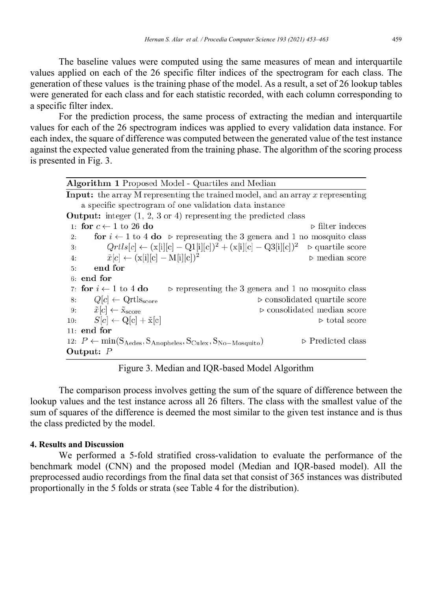The baseline values were computed using the same measures of mean and interquartile values applied on each of the 26 specific filter indices of the spectrogram for each class. The generation of these values is the training phase of the model. As a result, a set of 26 lookup tables were generated for each class and for each statistic recorded, with each column corresponding to a specific filter index.

For the prediction process, the same process of extracting the median and interquartile values for each of the 26 spectrogram indices was applied to every validation data instance. For each index, the square of difference was computed between the generated value of the test instance against the expected value generated from the training phase. The algorithm of the scoring process is presented in Fig. 3.

| Algorithm 1 Proposed Model - Quartiles and Median                                                                   |                                              |
|---------------------------------------------------------------------------------------------------------------------|----------------------------------------------|
| <b>Input:</b> the array M representing the trained model, and an array $x$ representing                             |                                              |
| a specific spectrogram of one validation data instance                                                              |                                              |
| <b>Output:</b> integer $(1, 2, 3 \text{ or } 4)$ representing the predicted class                                   |                                              |
| 1: for $c \leftarrow 1$ to 26 do                                                                                    | $\triangleright$ filter indeces              |
| <b>for</b> $i \leftarrow 1$ to 4 <b>do</b> $\triangleright$ representing the 3 genera and 1 no mosquito class<br>2: |                                              |
| $Qrtls[c] \leftarrow (x[i][c] - Q1[i][c])^2 + (x[i][c] - Q3[i][c])^2$<br>3:                                         | $\triangleright$ quartile score              |
| $\tilde{x}[c] \leftarrow (x[i][c] - M[i][c])^2$<br>4:                                                               | $\triangleright$ median score                |
| end for<br>5:                                                                                                       |                                              |
| $6:$ end for                                                                                                        |                                              |
| 7: for $i \leftarrow 1$ to 4 do<br>$\triangleright$ representing the 3 genera and 1 no mosquito class               |                                              |
| 8: $Q[c] \leftarrow Qrtls_{score}$                                                                                  | $\triangleright$ consolidated quartile score |
| 9: $\tilde{x}[c] \leftarrow \tilde{x}_{score}$                                                                      | $\triangleright$ consolidated median score   |
| 10: $S[c] \leftarrow Q[c] + \tilde{x}[c]$                                                                           | $\triangleright$ total score                 |
| $11:$ end for                                                                                                       |                                              |
| 12: $P \leftarrow min(S_{\text{Aedes}}, S_{\text{Anopheles}}, S_{\text{Culex}}, S_{\text{No}-\text{Mosquito}})$     | $\triangleright$ Predicted class             |
| Output: $P$                                                                                                         |                                              |

Figure 3. Median and IQR-based Model Algorithm

The comparison process involves getting the sum of the square of difference between the lookup values and the test instance across all 26 filters. The class with the smallest value of the sum of squares of the difference is deemed the most similar to the given test instance and is thus the class predicted by the model.

#### **4. Results and Discussion**

We performed a 5-fold stratified cross-validation to evaluate the performance of the benchmark model (CNN) and the proposed model (Median and IQR-based model). All the preprocessed audio recordings from the final data set that consist of 365 instances was distributed proportionally in the 5 folds or strata (see Table 4 for the distribution).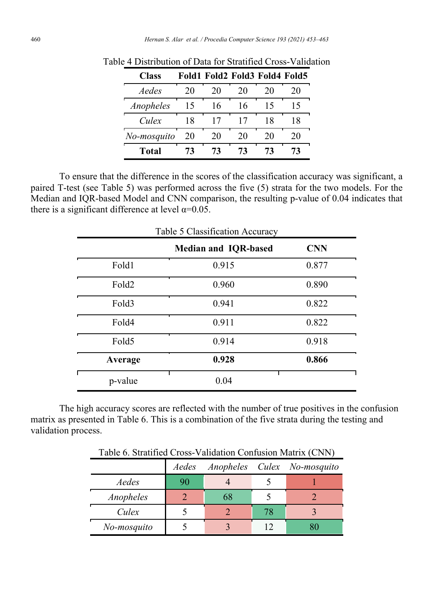| <b>Class</b> |    | Fold1 Fold2 Fold3 Fold4 Fold5 |    |    |    |
|--------------|----|-------------------------------|----|----|----|
| Aedes        | 20 | 20                            | 20 | 20 | 20 |
| Anopheles    | 15 | 16                            | 16 | 15 | 15 |
| Culex        | 18 |                               |    | 18 | 18 |
| No-mosquito  | 20 | 20                            | 20 | 20 | 20 |
| Total        | 73 | 73                            | 73 | 73 | 73 |

Table 4 Distribution of Data for Stratified Cross-Validation

To ensure that the difference in the scores of the classification accuracy was significant, a paired T-test (see Table 5) was performed across the five (5) strata for the two models. For the Median and IQR-based Model and CNN comparison, the resulting p-value of 0.04 indicates that there is a significant difference at level  $\alpha$ =0.05.

|         | <b>Median and IQR-based</b> | <b>CNN</b> |
|---------|-----------------------------|------------|
| Fold1   | 0.915                       | 0.877      |
| Fold2   | 0.960                       | 0.890      |
| Fold3   | 0.941                       | 0.822      |
| Fold4   | 0.911                       | 0.822      |
| Fold5   | 0.914                       | 0.918      |
| Average | 0.928                       | 0.866      |
| p-value | 0.04                        |            |

The high accuracy scores are reflected with the number of true positives in the confusion matrix as presented in Table 6. This is a combination of the five strata during the testing and validation process.

|             | Aedes |    |    | Anopheles Culex No-mosquito |
|-------------|-------|----|----|-----------------------------|
| Aedes       | 90    |    |    |                             |
| Anopheles   |       | 68 |    |                             |
| Culex       |       |    | 78 |                             |
| No-mosquito |       |    |    |                             |

Table 6. Stratified Cross-Validation Confusion Matrix (CNN)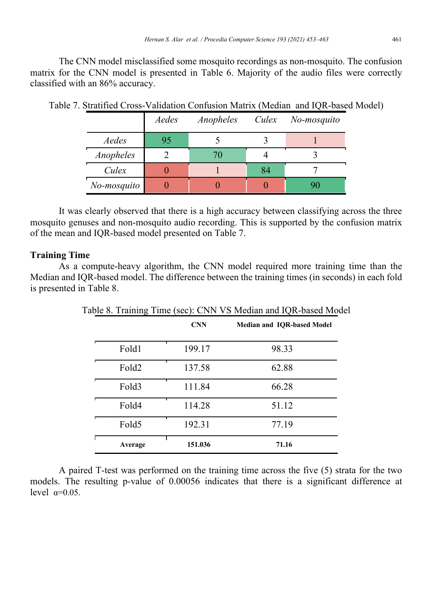The CNN model misclassified some mosquito recordings as non-mosquito. The confusion matrix for the CNN model is presented in Table 6. Majority of the audio files were correctly classified with an 86% accuracy.

|             | Aedes | Anopheles   | Culex | No-mosquito |
|-------------|-------|-------------|-------|-------------|
| Aedes       | 95    |             |       |             |
| Anopheles   |       | $\prime$ () |       |             |
| Culex       |       |             | 84    |             |
| No-mosquito |       |             |       |             |

Table 7. Stratified Cross-Validation Confusion Matrix (Median and IQR-based Model)

It was clearly observed that there is a high accuracy between classifying across the three mosquito genuses and non-mosquito audio recording. This is supported by the confusion matrix of the mean and IQR-based model presented on Table 7.

#### **Training Time**

As a compute-heavy algorithm, the CNN model required more training time than the Median and IQR-based model. The difference between the training times (in seconds) in each fold is presented in Table 8.

|         |            | able 8. Training Time (sec): CNN VS Median and IQR-based Mod |
|---------|------------|--------------------------------------------------------------|
|         | <b>CNN</b> | <b>Median and IQR-based Model</b>                            |
| Fold1   | 199.17     | 98.33                                                        |
| Fold2   | 137.58     | 62.88                                                        |
| Fold3   | 111.84     | 66.28                                                        |
| Fold4   | 114.28     | 51.12                                                        |
| Fold5   | 192.31     | 77.19                                                        |
| Average | 151.036    | 71.16                                                        |

Table 8. Training Time (sec): CNN VS Median and IQR-based Model

A paired T-test was performed on the training time across the five (5) strata for the two models. The resulting p-value of 0.00056 indicates that there is a significant difference at level  $\alpha=0.05$ .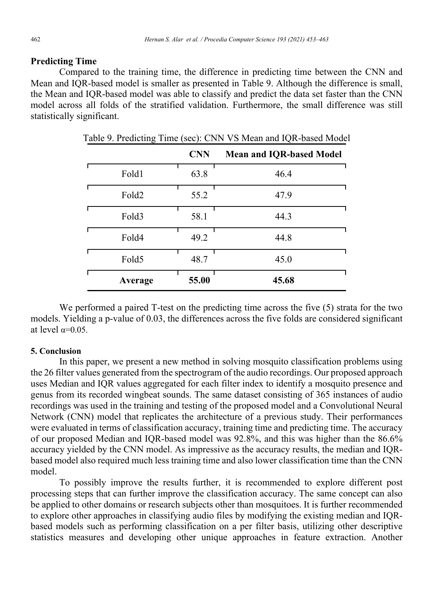### **Predicting Time**

Compared to the training time, the difference in predicting time between the CNN and Mean and IQR-based model is smaller as presented in Table 9. Although the difference is small, the Mean and IQR-based model was able to classify and predict the data set faster than the CNN model across all folds of the stratified validation. Furthermore, the small difference was still statistically significant.

|         | <b>CNN</b> | <b>Mean and IQR-based Model</b> |
|---------|------------|---------------------------------|
| Fold1   | 63.8       | 46.4                            |
| Fold2   | 55.2       | 47.9                            |
| Fold3   | 58.1       | 44.3                            |
| Fold4   | 49.2       | 44.8                            |
| Fold5   | 48.7       | 45.0                            |
| Average | 55.00      | 45.68                           |

We performed a paired T-test on the predicting time across the five (5) strata for the two models. Yielding a p-value of 0.03, the differences across the five folds are considered significant at level  $\alpha$ =0.05.

#### **5. Conclusion**

In this paper, we present a new method in solving mosquito classification problems using the 26 filter values generated from the spectrogram of the audio recordings. Our proposed approach uses Median and IQR values aggregated for each filter index to identify a mosquito presence and genus from its recorded wingbeat sounds. The same dataset consisting of 365 instances of audio recordings was used in the training and testing of the proposed model and a Convolutional Neural Network (CNN) model that replicates the architecture of a previous study. Their performances were evaluated in terms of classification accuracy, training time and predicting time. The accuracy of our proposed Median and IQR-based model was 92.8%, and this was higher than the 86.6% accuracy yielded by the CNN model. As impressive as the accuracy results, the median and IQRbased model also required much less training time and also lower classification time than the CNN model.

To possibly improve the results further, it is recommended to explore different post processing steps that can further improve the classification accuracy. The same concept can also be applied to other domains or research subjects other than mosquitoes. It is further recommended to explore other approaches in classifying audio files by modifying the existing median and IQRbased models such as performing classification on a per filter basis, utilizing other descriptive statistics measures and developing other unique approaches in feature extraction. Another